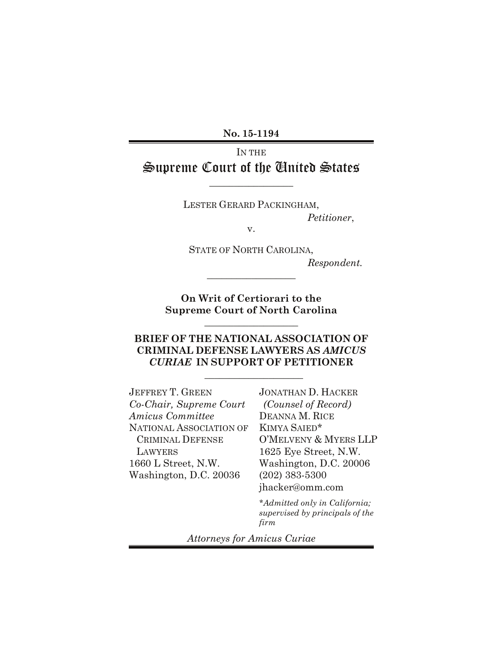**No. 15-1194**

# IN THE Supreme Court of the United States

 $\overline{\phantom{a}}$  , where  $\overline{\phantom{a}}$ 

LESTER GERARD PACKINGHAM,

*Petitioner*,

v.

STATE OF NORTH CAROLINA, *Respondent.*

**On Writ of Certiorari to the Supreme Court of North Carolina**

**\_\_\_\_\_\_\_\_\_\_\_\_\_\_\_\_\_\_\_**

\_\_\_\_\_\_\_\_\_\_\_\_\_\_\_\_\_\_

### **BRIEF OF THE NATIONAL ASSOCIATION OF CRIMINAL DEFENSE LAWYERS AS** *AMICUS CURIAE* **IN SUPPORT OF PETITIONER**

 $\overline{\phantom{a}}$  , where  $\overline{\phantom{a}}$  , where  $\overline{\phantom{a}}$ 

JEFFREY T. GREEN *Co-Chair, Supreme Court Amicus Committee* NATIONAL ASSOCIATION OF CRIMINAL DEFENSE LAWYERS 1660 L Street, N.W. Washington, D.C. 20036

JONATHAN D. HACKER *(Counsel of Record)* DEANNA M. RICE KIMYA SAIED\* O'MELVENY & MYERS LLP 1625 Eye Street, N.W. Washington, D.C. 20006 (202) 383-5300 jhacker@omm.com

*\*Admitted only in California; supervised by principals of the firm*

*Attorneys for Amicus Curiae*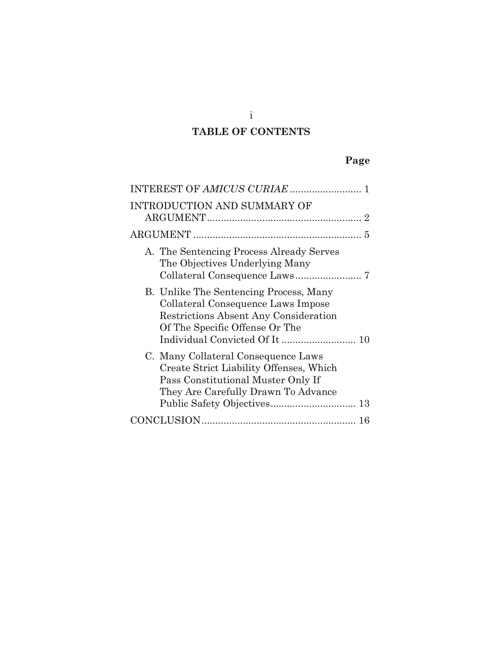# **TABLE OF CONTENTS**

# **Page**

| INTRODUCTION AND SUMMARY OF                                                                                                                                                                |
|--------------------------------------------------------------------------------------------------------------------------------------------------------------------------------------------|
| 5                                                                                                                                                                                          |
| A. The Sentencing Process Already Serves<br>The Objectives Underlying Many                                                                                                                 |
| B. Unlike The Sentencing Process, Many<br>Collateral Consequence Laws Impose<br>Restrictions Absent Any Consideration<br>Of The Specific Offense Or The                                    |
| C. Many Collateral Consequence Laws<br>Create Strict Liability Offenses, Which<br>Pass Constitutional Muster Only If<br>They Are Carefully Drawn To Advance<br>Public Safety Objectives 13 |
|                                                                                                                                                                                            |

i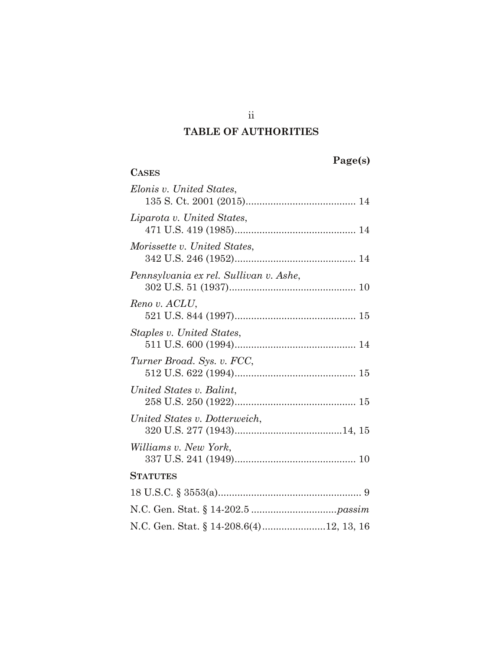## **TABLE OF AUTHORITIES**

| aget<br>S) |
|------------|
|------------|

| <b>CASES</b>                            |
|-----------------------------------------|
| Elonis v. United States,                |
| Liparota v. United States,              |
| Morissette v. United States,            |
| Pennsylvania ex rel. Sullivan v. Ashe,  |
| Reno v. ACLU,                           |
| Staples v. United States,               |
| Turner Broad. Sys. v. FCC,              |
| United States v. Balint,                |
| United States v. Dotterweich,           |
| <i>Williams v. New York,</i>            |
| <b>STATUTES</b>                         |
|                                         |
|                                         |
| N.C. Gen. Stat. § 14-208.6(4)12, 13, 16 |

ii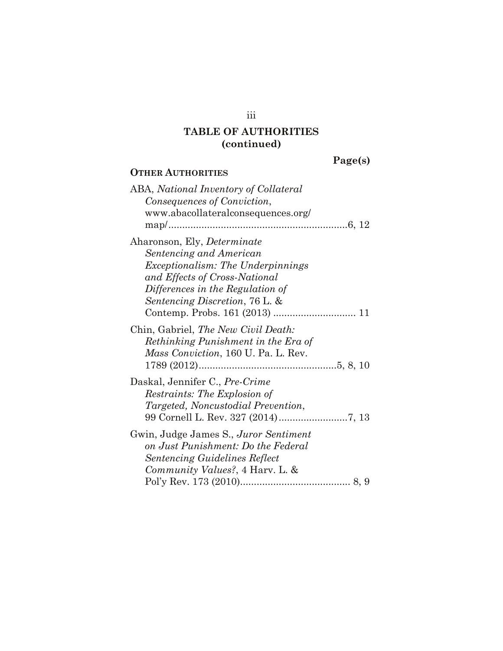**OTHER AUTHORITIES**

#### **Page(s)**

## ABA, *National Inventory of Collateral Consequences of Conviction*, www.abacollateralconsequences.org/ map/.................................................................6, 12 Aharonson, Ely, *Determinate Sentencing and American Exceptionalism: The Underpinnings and Effects of Cross-National Differences in the Regulation of Sentencing Discretion*, 76 L. & Contemp. Probs. 161 (2013) .............................. 11 Chin, Gabriel, *The New Civil Death: Rethinking Punishment in the Era of Mass Conviction*, 160 U. Pa. L. Rev. 1789 (2012)..................................................5, 8, 10 Daskal, Jennifer C., *Pre-Crime Restraints: The Explosion of Targeted, Noncustodial Prevention*, 99 Cornell L. Rev. 327 (2014).........................7, 13 Gwin, Judge James S., *Juror Sentiment on Just Punishment: Do the Federal Sentencing Guidelines Reflect Community Values?*, 4 Harv. L. & Pol'y Rev. 173 (2010)........................................ 8, 9

iii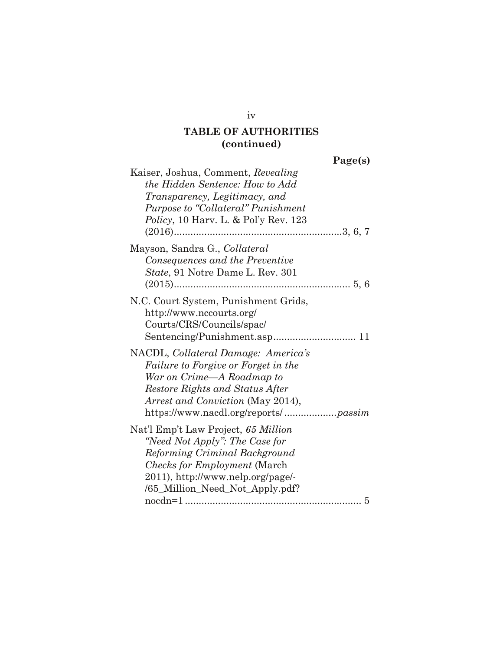**Page(s)**

| Kaiser, Joshua, Comment, Revealing                                                                                                                                              |
|---------------------------------------------------------------------------------------------------------------------------------------------------------------------------------|
| the Hidden Sentence: How to Add                                                                                                                                                 |
| Transparency, Legitimacy, and                                                                                                                                                   |
| Purpose to "Collateral" Punishment                                                                                                                                              |
| <i>Policy</i> , 10 Harv. L. & Pol'y Rev. 123                                                                                                                                    |
|                                                                                                                                                                                 |
| Mayson, Sandra G., Collateral                                                                                                                                                   |
| Consequences and the Preventive                                                                                                                                                 |
| State, 91 Notre Dame L. Rev. 301                                                                                                                                                |
|                                                                                                                                                                                 |
| N.C. Court System, Punishment Grids,<br>http://www.nccourts.org/<br>Courts/CRS/Councils/spac/                                                                                   |
| NACDL, Collateral Damage: America's<br>Failure to Forgive or Forget in the<br>War on Crime—A Roadmap to<br>Restore Rights and Status After<br>Arrest and Conviction (May 2014), |
| Nat'l Emp't Law Project, 65 Million                                                                                                                                             |
| "Need Not Apply": The Case for                                                                                                                                                  |
| Reforming Criminal Background                                                                                                                                                   |
| <i>Checks for Employment</i> (March)                                                                                                                                            |
| 2011), http://www.nelp.org/page/-                                                                                                                                               |
| /65_Million_Need_Not_Apply.pdf?                                                                                                                                                 |
|                                                                                                                                                                                 |

iv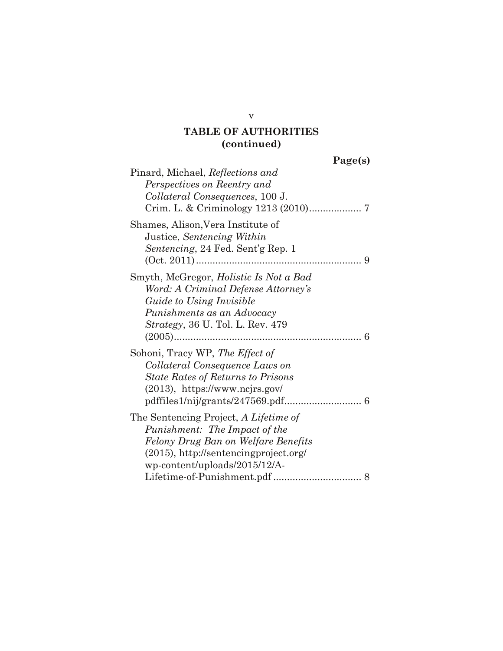| get<br>. .<br>. . | S. |
|-------------------|----|
|                   |    |

v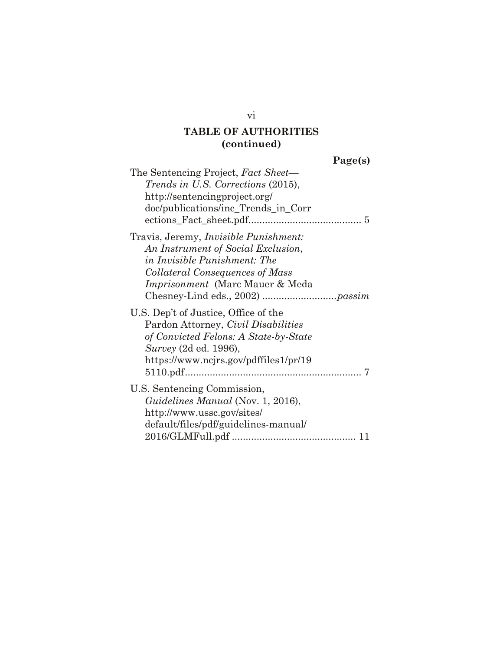**Page(s)**

| The Sentencing Project, Fact Sheet-<br><i>Trends in U.S. Corrections (2015),</i><br>http://sentencingproject.org/<br>doc/publications/inc_Trends_in_Corr                                         |
|--------------------------------------------------------------------------------------------------------------------------------------------------------------------------------------------------|
| Travis, Jeremy, <i>Invisible Punishment</i> :<br>An Instrument of Social Exclusion,<br>in Invisible Punishment: The<br>Collateral Consequences of Mass<br><i>Imprisonment</i> (Marc Mauer & Meda |
| U.S. Dep't of Justice, Office of the<br>Pardon Attorney, Civil Disabilities<br>of Convicted Felons: A State-by-State<br>Survey (2d ed. 1996),<br>https://www.ncjrs.gov/pdffiles1/pr/19           |
| U.S. Sentencing Commission,<br>Guidelines Manual (Nov. 1, 2016),<br>http://www.ussc.gov/sites/<br>default/files/pdf/guidelines-manual/                                                           |

vi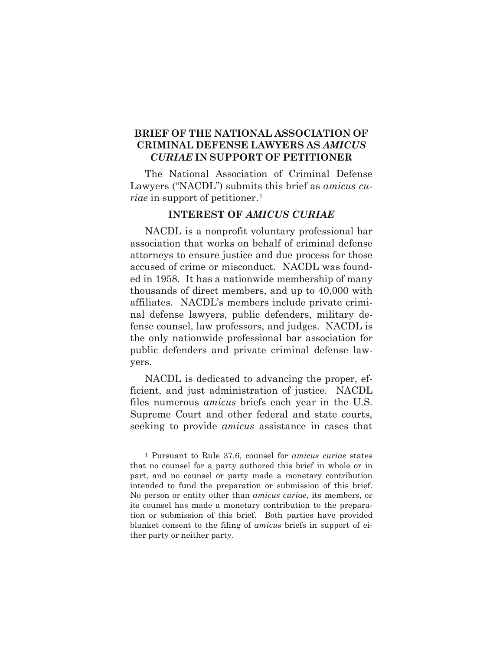### **BRIEF OF THE NATIONAL ASSOCIATION OF CRIMINAL DEFENSE LAWYERS AS** *AMICUS CURIAE* **IN SUPPORT OF PETITIONER**

The National Association of Criminal Defense Lawyers ("NACDL") submits this brief as *amicus curiae* in support of petitioner.<sup>[1](#page-7-1)</sup>

#### **INTEREST OF** *AMICUS CURIAE*

<span id="page-7-0"></span>NACDL is a nonprofit voluntary professional bar association that works on behalf of criminal defense attorneys to ensure justice and due process for those accused of crime or misconduct. NACDL was founded in 1958. It has a nationwide membership of many thousands of direct members, and up to 40,000 with affiliates. NACDL's members include private criminal defense lawyers, public defenders, military defense counsel, law professors, and judges. NACDL is the only nationwide professional bar association for public defenders and private criminal defense lawyers.

NACDL is dedicated to advancing the proper, efficient, and just administration of justice. NACDL files numerous *amicus* briefs each year in the U.S. Supreme Court and other federal and state courts, seeking to provide *amicus* assistance in cases that

<span id="page-7-1"></span> <sup>1</sup> Pursuant to Rule 37.6, counsel for *amicus curiae* states that no counsel for a party authored this brief in whole or in part, and no counsel or party made a monetary contribution intended to fund the preparation or submission of this brief. No person or entity other than *amicus curiae*, its members, or its counsel has made a monetary contribution to the preparation or submission of this brief. Both parties have provided blanket consent to the filing of *amicus* briefs in support of either party or neither party.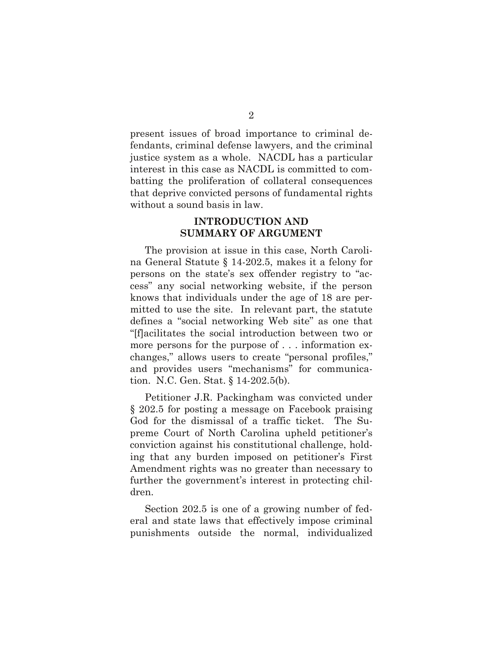present issues of broad importance to criminal defendants, criminal defense lawyers, and the criminal justice system as a whole. NACDL has a particular interest in this case as NACDL is committed to combatting the proliferation of collateral consequences that deprive convicted persons of fundamental rights without a sound basis in law.

#### **INTRODUCTION AND SUMMARY OF ARGUMENT**

<span id="page-8-0"></span>The provision at issue in this case, North Carolina General Statute § 14-202.5, makes it a felony for persons on the state's sex offender registry to "access" any social networking website, if the person knows that individuals under the age of 18 are permitted to use the site. In relevant part, the statute defines a "social networking Web site" as one that "[f]acilitates the social introduction between two or more persons for the purpose of . . . information exchanges," allows users to create "personal profiles," and provides users "mechanisms" for communication. N.C. Gen. Stat. § 14-202.5(b).

Petitioner J.R. Packingham was convicted under § 202.5 for posting a message on Facebook praising God for the dismissal of a traffic ticket. The Supreme Court of North Carolina upheld petitioner's conviction against his constitutional challenge, holding that any burden imposed on petitioner's First Amendment rights was no greater than necessary to further the government's interest in protecting children.

Section 202.5 is one of a growing number of federal and state laws that effectively impose criminal punishments outside the normal, individualized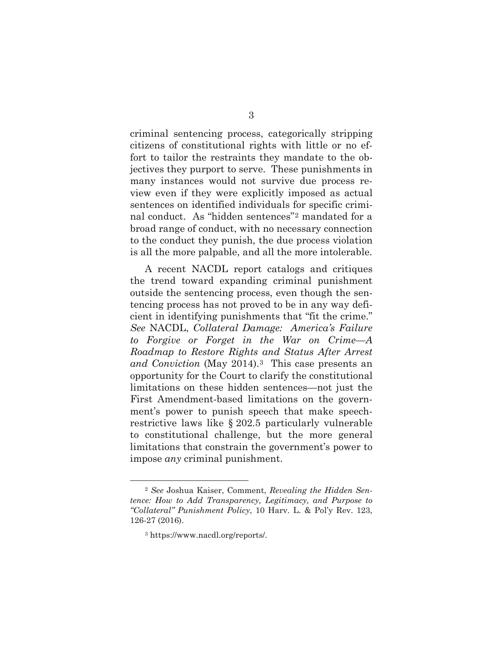criminal sentencing process, categorically stripping citizens of constitutional rights with little or no effort to tailor the restraints they mandate to the objectives they purport to serve. These punishments in many instances would not survive due process review even if they were explicitly imposed as actual sentences on identified individuals for specific criminal conduct. As "hidden sentences"[2](#page-9-0) mandated for a broad range of conduct, with no necessary connection to the conduct they punish, the due process violation is all the more palpable, and all the more intolerable.

A recent NACDL report catalogs and critiques the trend toward expanding criminal punishment outside the sentencing process, even though the sentencing process has not proved to be in any way deficient in identifying punishments that "fit the crime." *See* NACDL, *Collateral Damage: America's Failure to Forgive or Forget in the War on Crime—A Roadmap to Restore Rights and Status After Arrest and Conviction* (May 2014).[3](#page-10-0) This case presents an opportunity for the Court to clarify the constitutional limitations on these hidden sentences—not just the First Amendment-based limitations on the government's power to punish speech that make speechrestrictive laws like § 202.5 particularly vulnerable to constitutional challenge, but the more general limitations that constrain the government's power to impose *any* criminal punishment.

<span id="page-9-0"></span> <sup>2</sup> *See* Joshua Kaiser, Comment, *Revealing the Hidden Sentence: How to Add Transparency, Legitimacy, and Purpose to "Collateral" Punishment Policy*, 10 Harv. L. & Pol'y Rev. 123, 126-27 (2016).

<sup>3</sup> https://www.nacdl.org/reports/.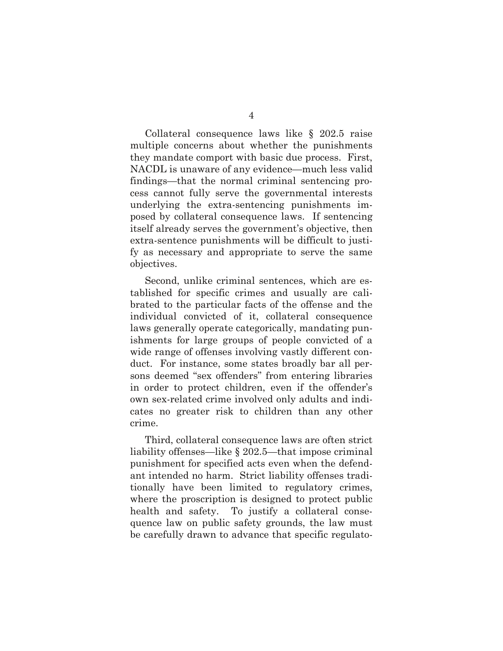Collateral consequence laws like § 202.5 raise multiple concerns about whether the punishments they mandate comport with basic due process. First, NACDL is unaware of any evidence—much less valid findings—that the normal criminal sentencing process cannot fully serve the governmental interests underlying the extra-sentencing punishments imposed by collateral consequence laws. If sentencing itself already serves the government's objective, then extra-sentence punishments will be difficult to justify as necessary and appropriate to serve the same objectives.

Second, unlike criminal sentences, which are established for specific crimes and usually are calibrated to the particular facts of the offense and the individual convicted of it, collateral consequence laws generally operate categorically, mandating punishments for large groups of people convicted of a wide range of offenses involving vastly different conduct. For instance, some states broadly bar all persons deemed "sex offenders" from entering libraries in order to protect children, even if the offender's own sex-related crime involved only adults and indicates no greater risk to children than any other crime.

<span id="page-10-0"></span>Third, collateral consequence laws are often strict liability offenses—like § 202.5—that impose criminal punishment for specified acts even when the defendant intended no harm. Strict liability offenses traditionally have been limited to regulatory crimes, where the proscription is designed to protect public health and safety. To justify a collateral consequence law on public safety grounds, the law must be carefully drawn to advance that specific regulato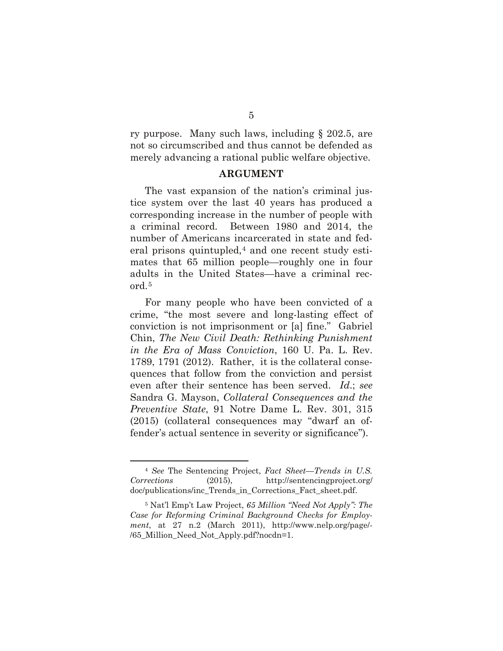ry purpose. Many such laws, including § 202.5, are not so circumscribed and thus cannot be defended as merely advancing a rational public welfare objective.

#### **ARGUMENT**

<span id="page-11-0"></span>The vast expansion of the nation's criminal justice system over the last 40 years has produced a corresponding increase in the number of people with a criminal record. Between 1980 and 2014, the number of Americans incarcerated in state and federal prisons quintupled,  $4$  and one recent study estimates that 65 million people—roughly one in four adults in the United States—have a criminal record.[5](#page-12-0)

For many people who have been convicted of a crime, "the most severe and long-lasting effect of conviction is not imprisonment or [a] fine." Gabriel Chin, *The New Civil Death: Rethinking Punishment in the Era of Mass Conviction*, 160 U. Pa. L. Rev. 1789, 1791 (2012). Rather, it is the collateral consequences that follow from the conviction and persist even after their sentence has been served. *Id*.; *see*  Sandra G. Mayson, *Collateral Consequences and the Preventive State*, 91 Notre Dame L. Rev. 301, 315 (2015) (collateral consequences may "dwarf an offender's actual sentence in severity or significance").

<span id="page-11-1"></span> <sup>4</sup> *See* The Sentencing Project, *Fact Sheet—Trends in U.S. Corrections* (2015), http://sentencingproject.org/ doc/publications/inc\_Trends\_in\_Corrections\_Fact\_sheet.pdf.

<sup>5</sup> Nat'l Emp't Law Project, *65 Million "Need Not Apply": The Case for Reforming Criminal Background Checks for Employment*, at 27 n.2 (March 2011), http://www.nelp.org/page/- /65\_Million\_Need\_Not\_Apply.pdf?nocdn=1.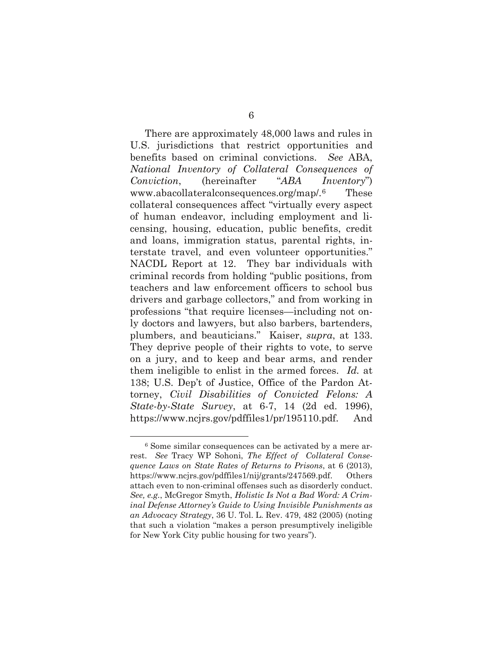There are approximately 48,000 laws and rules in U.S. jurisdictions that restrict opportunities and benefits based on criminal convictions. *See* ABA, *National Inventory of Collateral Consequences of Conviction*, (hereinafter "*ABA Inventory*") www.abacollateralconsequences.org/map/.[6](#page-13-1) These collateral consequences affect "virtually every aspect of human endeavor, including employment and licensing, housing, education, public benefits, credit and loans, immigration status, parental rights, interstate travel, and even volunteer opportunities." NACDL Report at 12. They bar individuals with criminal records from holding "public positions, from teachers and law enforcement officers to school bus drivers and garbage collectors," and from working in professions "that require licenses—including not only doctors and lawyers, but also barbers, bartenders, plumbers, and beauticians." Kaiser, *supra*, at 133. They deprive people of their rights to vote, to serve on a jury, and to keep and bear arms, and render them ineligible to enlist in the armed forces. *Id.* at 138; U.S. Dep't of Justice, Office of the Pardon Attorney, *Civil Disabilities of Convicted Felons: A State-by-State Survey*, at 6-7, 14 (2d ed. 1996), https://www.ncjrs.gov/pdffiles1/pr/195110.pdf. And

<span id="page-12-0"></span> <sup>6</sup> Some similar consequences can be activated by a mere arrest. *See* Tracy WP Sohoni, *The Effect of Collateral Consequence Laws on State Rates of Returns to Prisons*, at 6 (2013), https://www.ncjrs.gov/pdffiles1/nij/grants/247569.pdf. Others attach even to non-criminal offenses such as disorderly conduct. *See, e.g.*, McGregor Smyth, *Holistic Is Not a Bad Word: A Criminal Defense Attorney's Guide to Using Invisible Punishments as an Advocacy Strategy*, 36 U. Tol. L. Rev. 479, 482 (2005) (noting that such a violation "makes a person presumptively ineligible for New York City public housing for two years").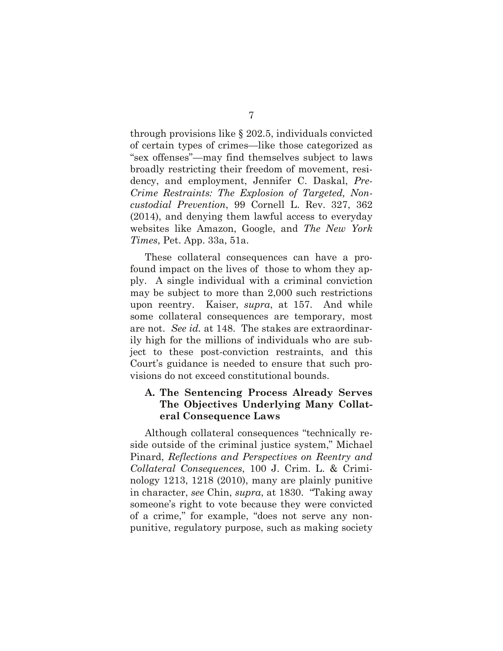through provisions like § 202.5, individuals convicted of certain types of crimes—like those categorized as "sex offenses"—may find themselves subject to laws broadly restricting their freedom of movement, residency, and employment, Jennifer C. Daskal, *Pre-Crime Restraints: The Explosion of Targeted, Noncustodial Prevention*, 99 Cornell L. Rev. 327, 362 (2014), and denying them lawful access to everyday websites like Amazon, Google, and *The New York Times*, Pet. App. 33a, 51a.

These collateral consequences can have a profound impact on the lives of those to whom they apply. A single individual with a criminal conviction may be subject to more than 2,000 such restrictions upon reentry. Kaiser, *supra*, at 157. And while some collateral consequences are temporary, most are not. *See id.* at 148. The stakes are extraordinarily high for the millions of individuals who are subject to these post-conviction restraints, and this Court's guidance is needed to ensure that such provisions do not exceed constitutional bounds.

### <span id="page-13-0"></span>**A. The Sentencing Process Already Serves The Objectives Underlying Many Collateral Consequence Laws**

<span id="page-13-1"></span>Although collateral consequences "technically reside outside of the criminal justice system," Michael Pinard, *Reflections and Perspectives on Reentry and Collateral Consequences*, 100 J. Crim. L. & Criminology 1213, 1218 (2010), many are plainly punitive in character, *see* Chin, *supra*, at 1830. "Taking away someone's right to vote because they were convicted of a crime," for example, "does not serve any nonpunitive, regulatory purpose, such as making society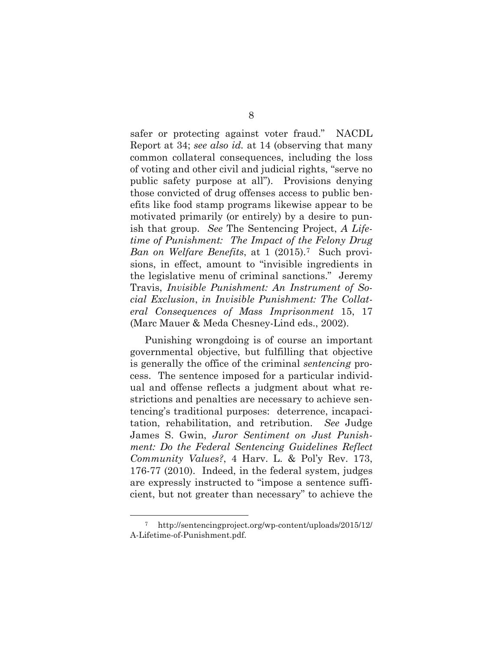safer or protecting against voter fraud." NACDL Report at 34; *see also id.* at 14 (observing that many common collateral consequences, including the loss of voting and other civil and judicial rights, "serve no public safety purpose at all"). Provisions denying those convicted of drug offenses access to public benefits like food stamp programs likewise appear to be motivated primarily (or entirely) by a desire to punish that group. *See* The Sentencing Project, *A Lifetime of Punishment: The Impact of the Felony Drug Ban on Welfare Benefits*, at 1 (2015).[7](#page-16-1) Such provisions, in effect, amount to "invisible ingredients in the legislative menu of criminal sanctions." Jeremy Travis, *Invisible Punishment: An Instrument of Social Exclusion*, *in Invisible Punishment: The Collateral Consequences of Mass Imprisonment* 15, 17 (Marc Mauer & Meda Chesney-Lind eds., 2002).

Punishing wrongdoing is of course an important governmental objective, but fulfilling that objective is generally the office of the criminal *sentencing* process. The sentence imposed for a particular individual and offense reflects a judgment about what restrictions and penalties are necessary to achieve sentencing's traditional purposes: deterrence, incapacitation, rehabilitation, and retribution. *See* Judge James S. Gwin, *Juror Sentiment on Just Punishment: Do the Federal Sentencing Guidelines Reflect Community Values?*, 4 Harv. L. & Pol'y Rev. 173, 176-77 (2010). Indeed, in the federal system, judges are expressly instructed to "impose a sentence sufficient, but not greater than necessary" to achieve the

 <sup>7</sup> http://sentencingproject.org/wp-content/uploads/2015/12/ A-Lifetime-of-Punishment.pdf.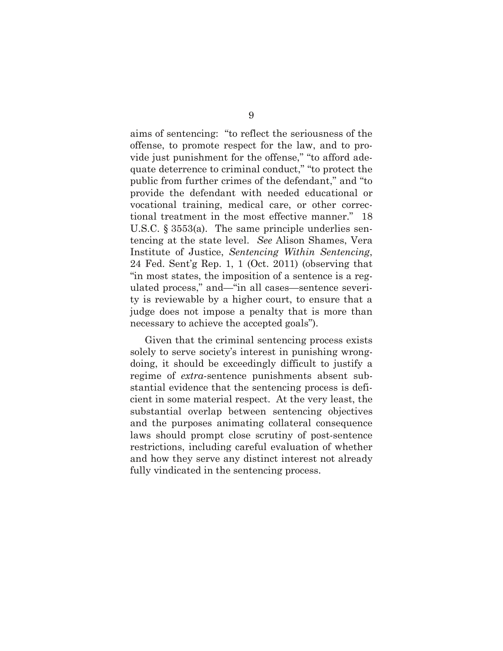aims of sentencing: "to reflect the seriousness of the offense, to promote respect for the law, and to provide just punishment for the offense," "to afford adequate deterrence to criminal conduct," "to protect the public from further crimes of the defendant," and "to provide the defendant with needed educational or vocational training, medical care, or other correctional treatment in the most effective manner." 18 U.S.C. § 3553(a). The same principle underlies sentencing at the state level. *See* Alison Shames, Vera Institute of Justice, *Sentencing Within Sentencing*, 24 Fed. Sent'g Rep. 1, 1 (Oct. 2011) (observing that "in most states, the imposition of a sentence is a regulated process," and—"in all cases—sentence severity is reviewable by a higher court, to ensure that a judge does not impose a penalty that is more than necessary to achieve the accepted goals").

Given that the criminal sentencing process exists solely to serve society's interest in punishing wrongdoing, it should be exceedingly difficult to justify a regime of *extra*-sentence punishments absent substantial evidence that the sentencing process is deficient in some material respect. At the very least, the substantial overlap between sentencing objectives and the purposes animating collateral consequence laws should prompt close scrutiny of post-sentence restrictions, including careful evaluation of whether and how they serve any distinct interest not already fully vindicated in the sentencing process.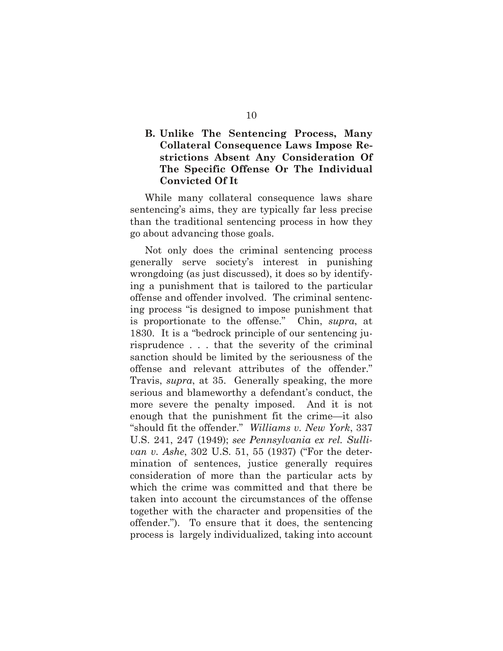### <span id="page-16-0"></span>**B. Unlike The Sentencing Process, Many Collateral Consequence Laws Impose Restrictions Absent Any Consideration Of The Specific Offense Or The Individual Convicted Of It**

While many collateral consequence laws share sentencing's aims, they are typically far less precise than the traditional sentencing process in how they go about advancing those goals.

<span id="page-16-1"></span>Not only does the criminal sentencing process generally serve society's interest in punishing wrongdoing (as just discussed), it does so by identifying a punishment that is tailored to the particular offense and offender involved. The criminal sentencing process "is designed to impose punishment that is proportionate to the offense." Chin, *supra*, at 1830. It is a "bedrock principle of our sentencing jurisprudence . . . that the severity of the criminal sanction should be limited by the seriousness of the offense and relevant attributes of the offender." Travis, *supra*, at 35. Generally speaking, the more serious and blameworthy a defendant's conduct, the more severe the penalty imposed. And it is not enough that the punishment fit the crime—it also "should fit the offender." *Williams v. New York*, 337 U.S. 241, 247 (1949); *see Pennsylvania ex rel. Sullivan v. Ashe*, 302 U.S. 51, 55 (1937) ("For the determination of sentences, justice generally requires consideration of more than the particular acts by which the crime was committed and that there be taken into account the circumstances of the offense together with the character and propensities of the offender."). To ensure that it does, the sentencing process is largely individualized, taking into account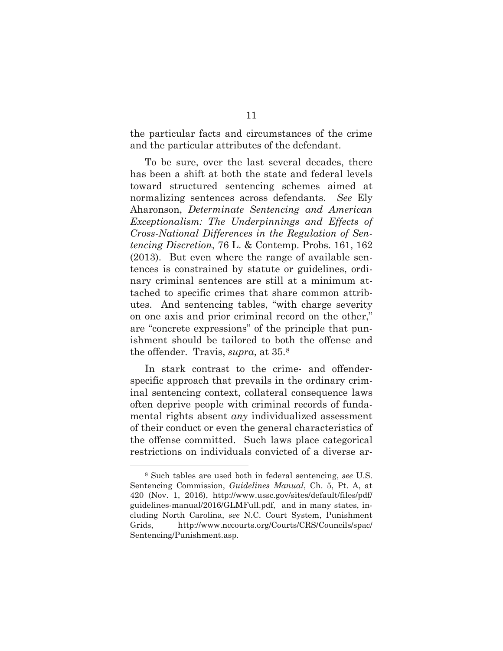the particular facts and circumstances of the crime and the particular attributes of the defendant.

To be sure, over the last several decades, there has been a shift at both the state and federal levels toward structured sentencing schemes aimed at normalizing sentences across defendants. *See* Ely Aharonson, *Determinate Sentencing and American Exceptionalism: The Underpinnings and Effects of Cross-National Differences in the Regulation of Sentencing Discretion*, 76 L. & Contemp. Probs. 161, 162 (2013). But even where the range of available sentences is constrained by statute or guidelines, ordinary criminal sentences are still at a minimum attached to specific crimes that share common attributes. And sentencing tables, "with charge severity on one axis and prior criminal record on the other," are "concrete expressions" of the principle that punishment should be tailored to both the offense and the offender. Travis, *supra*, at 35.[8](#page-19-1)

In stark contrast to the crime- and offenderspecific approach that prevails in the ordinary criminal sentencing context, collateral consequence laws often deprive people with criminal records of fundamental rights absent *any* individualized assessment of their conduct or even the general characteristics of the offense committed. Such laws place categorical restrictions on individuals convicted of a diverse ar-

 <sup>8</sup> Such tables are used both in federal sentencing, *see* U.S. Sentencing Commission, *Guidelines Manual*, Ch. 5, Pt. A, at 420 (Nov. 1, 2016), http://www.ussc.gov/sites/default/files/pdf/ guidelines-manual/2016/GLMFull.pdf, and in many states, including North Carolina, *see* N.C. Court System, Punishment Grids, http://www.nccourts.org/Courts/CRS/Councils/spac/ Sentencing/Punishment.asp.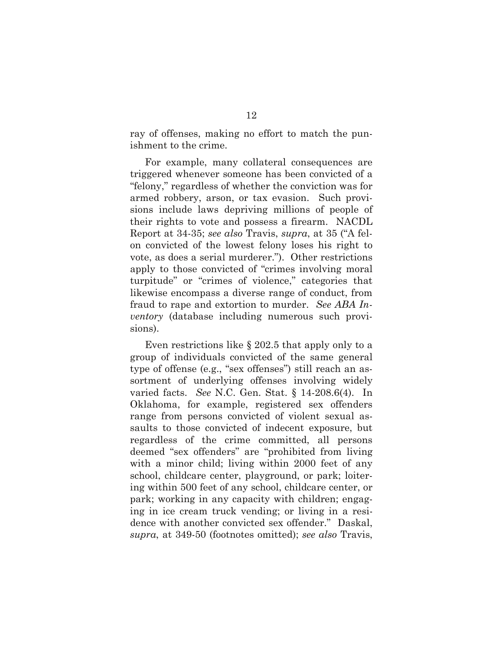ray of offenses, making no effort to match the punishment to the crime.

For example, many collateral consequences are triggered whenever someone has been convicted of a "felony," regardless of whether the conviction was for armed robbery, arson, or tax evasion. Such provisions include laws depriving millions of people of their rights to vote and possess a firearm. NACDL Report at 34-35; *see also* Travis, *supra*, at 35 ("A felon convicted of the lowest felony loses his right to vote, as does a serial murderer."). Other restrictions apply to those convicted of "crimes involving moral turpitude" or "crimes of violence," categories that likewise encompass a diverse range of conduct, from fraud to rape and extortion to murder. *See ABA Inventory* (database including numerous such provisions).

Even restrictions like § 202.5 that apply only to a group of individuals convicted of the same general type of offense (e.g., "sex offenses") still reach an assortment of underlying offenses involving widely varied facts. *See* N.C. Gen. Stat. § 14-208.6(4). In Oklahoma, for example, registered sex offenders range from persons convicted of violent sexual assaults to those convicted of indecent exposure, but regardless of the crime committed, all persons deemed "sex offenders" are "prohibited from living with a minor child; living within 2000 feet of any school, childcare center, playground, or park; loitering within 500 feet of any school, childcare center, or park; working in any capacity with children; engaging in ice cream truck vending; or living in a residence with another convicted sex offender." Daskal, *supra*, at 349-50 (footnotes omitted); *see also* Travis,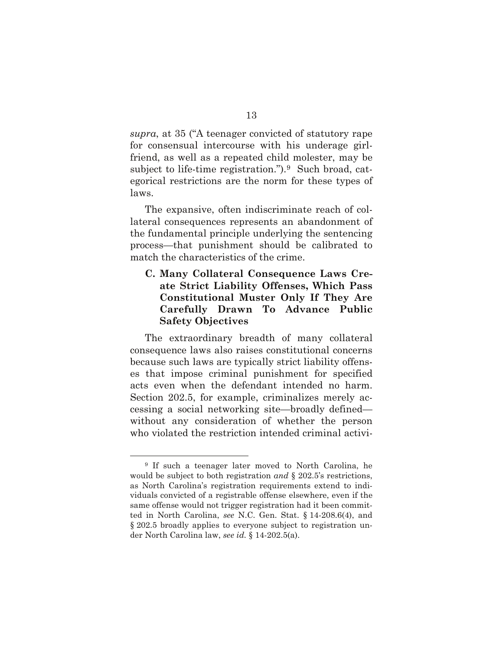*supra*, at 35 ("A teenager convicted of statutory rape for consensual intercourse with his underage girlfriend, as well as a repeated child molester, may be subject to life-time registration."). $9$  Such broad, categorical restrictions are the norm for these types of laws.

The expansive, often indiscriminate reach of collateral consequences represents an abandonment of the fundamental principle underlying the sentencing process—that punishment should be calibrated to match the characteristics of the crime.

### <span id="page-19-0"></span>**C. Many Collateral Consequence Laws Create Strict Liability Offenses, Which Pass Constitutional Muster Only If They Are Carefully Drawn To Advance Public Safety Objectives**

The extraordinary breadth of many collateral consequence laws also raises constitutional concerns because such laws are typically strict liability offenses that impose criminal punishment for specified acts even when the defendant intended no harm. Section 202.5, for example, criminalizes merely accessing a social networking site—broadly defined without any consideration of whether the person who violated the restriction intended criminal activi-

<span id="page-19-1"></span> <sup>9</sup> If such a teenager later moved to North Carolina, he would be subject to both registration *and* § 202.5's restrictions, as North Carolina's registration requirements extend to individuals convicted of a registrable offense elsewhere, even if the same offense would not trigger registration had it been committed in North Carolina, *see* N.C. Gen. Stat. § 14-208.6(4), and § 202.5 broadly applies to everyone subject to registration under North Carolina law, *see id.* § 14-202.5(a).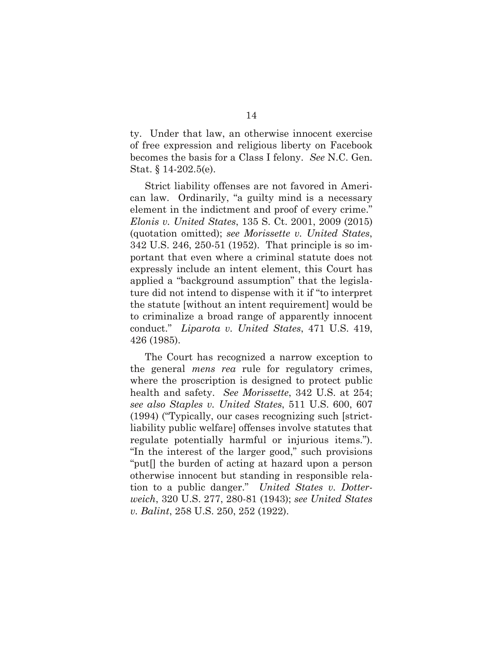ty. Under that law, an otherwise innocent exercise of free expression and religious liberty on Facebook becomes the basis for a Class I felony. *See* N.C. Gen. Stat. § 14-202.5(e).

Strict liability offenses are not favored in American law. Ordinarily, "a guilty mind is a necessary element in the indictment and proof of every crime." *Elonis v. United States*, 135 S. Ct. 2001, 2009 (2015) (quotation omitted); *see Morissette v. United States*, 342 U.S. 246, 250-51 (1952). That principle is so important that even where a criminal statute does not expressly include an intent element, this Court has applied a "background assumption" that the legislature did not intend to dispense with it if "to interpret the statute [without an intent requirement] would be to criminalize a broad range of apparently innocent conduct." *Liparota v. United States*, 471 U.S. 419, 426 (1985).

The Court has recognized a narrow exception to the general *mens rea* rule for regulatory crimes, where the proscription is designed to protect public health and safety. *See Morissette*, 342 U.S. at 254; *see also Staples v. United States*, 511 U.S. 600, 607 (1994) ("Typically, our cases recognizing such [strictliability public welfare] offenses involve statutes that regulate potentially harmful or injurious items."). "In the interest of the larger good," such provisions "put[] the burden of acting at hazard upon a person otherwise innocent but standing in responsible relation to a public danger." *United States v. Dotterweich*, 320 U.S. 277, 280-81 (1943); *see United States v. Balint*, 258 U.S. 250, 252 (1922).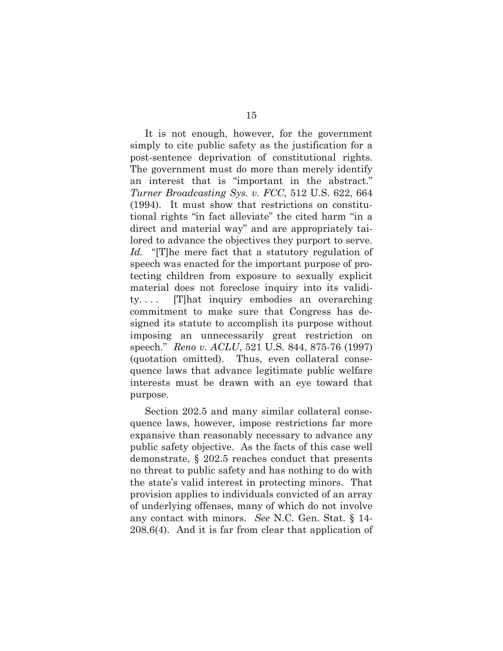It is not enough, however, for the government simply to cite public safety as the justification for a post-sentence deprivation of constitutional rights. The government must do more than merely identify an interest that is "important in the abstract." *Turner Broadcasting Sys. v. FCC*, 512 U.S. 622, 664 (1994). It must show that restrictions on constitutional rights "in fact alleviate" the cited harm "in a direct and material way" and are appropriately tailored to advance the objectives they purport to serve. *Id.* "[T]he mere fact that a statutory regulation of speech was enacted for the important purpose of protecting children from exposure to sexually explicit material does not foreclose inquiry into its validity. . . . [T]hat inquiry embodies an overarching commitment to make sure that Congress has designed its statute to accomplish its purpose without imposing an unnecessarily great restriction on speech." *Reno v. ACLU*, 521 U.S. 844, 875-76 (1997) (quotation omitted). Thus, even collateral consequence laws that advance legitimate public welfare interests must be drawn with an eye toward that purpose.

<span id="page-21-0"></span>Section 202.5 and many similar collateral consequence laws, however, impose restrictions far more expansive than reasonably necessary to advance any public safety objective. As the facts of this case well demonstrate, § 202.5 reaches conduct that presents no threat to public safety and has nothing to do with the state's valid interest in protecting minors. That provision applies to individuals convicted of an array of underlying offenses, many of which do not involve any contact with minors. *See* N.C. Gen. Stat. § 14- 208.6(4). And it is far from clear that application of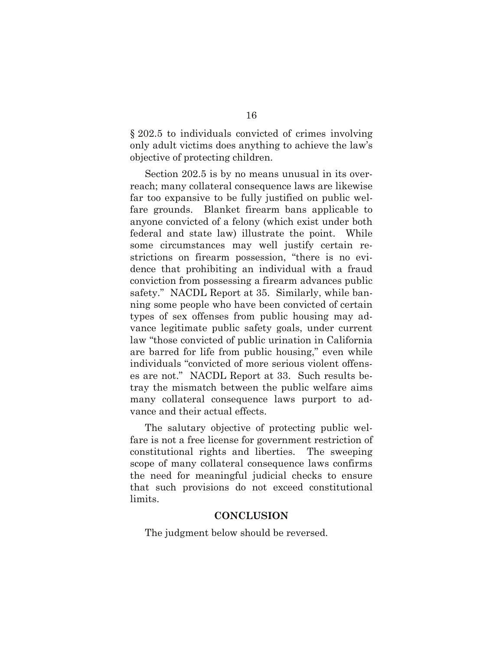§ 202.5 to individuals convicted of crimes involving only adult victims does anything to achieve the law's objective of protecting children.

Section 202.5 is by no means unusual in its overreach; many collateral consequence laws are likewise far too expansive to be fully justified on public welfare grounds. Blanket firearm bans applicable to anyone convicted of a felony (which exist under both federal and state law) illustrate the point. While some circumstances may well justify certain restrictions on firearm possession, "there is no evidence that prohibiting an individual with a fraud conviction from possessing a firearm advances public safety." NACDL Report at 35. Similarly, while banning some people who have been convicted of certain types of sex offenses from public housing may advance legitimate public safety goals, under current law "those convicted of public urination in California are barred for life from public housing," even while individuals "convicted of more serious violent offenses are not." NACDL Report at 33. Such results betray the mismatch between the public welfare aims many collateral consequence laws purport to advance and their actual effects.

The salutary objective of protecting public welfare is not a free license for government restriction of constitutional rights and liberties. The sweeping scope of many collateral consequence laws confirms the need for meaningful judicial checks to ensure that such provisions do not exceed constitutional limits.

#### **CONCLUSION**

<span id="page-22-0"></span>The judgment below should be reversed.